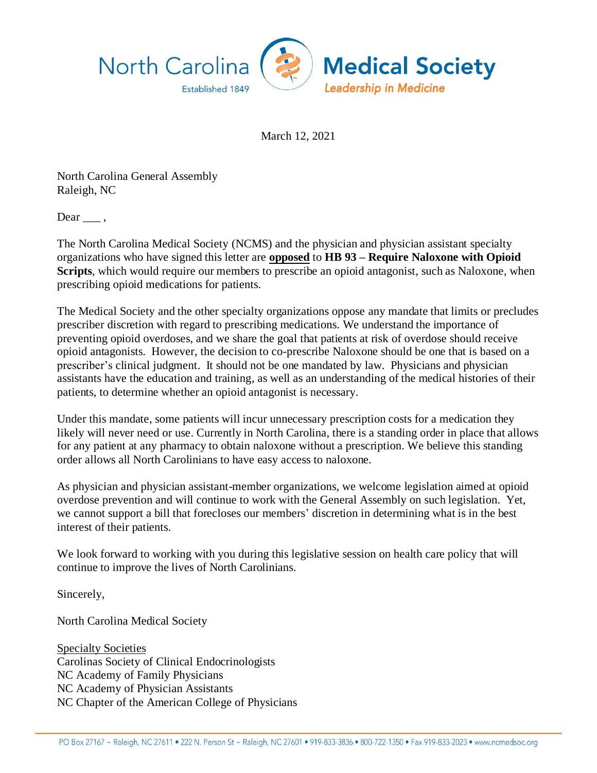

March 12, 2021

North Carolina General Assembly Raleigh, NC

Dear  $\_\_$ ,

The North Carolina Medical Society (NCMS) and the physician and physician assistant specialty organizations who have signed this letter are **opposed** to **HB 93 – Require Naloxone with Opioid Scripts**, which would require our members to prescribe an opioid antagonist, such as Naloxone, when prescribing opioid medications for patients.

The Medical Society and the other specialty organizations oppose any mandate that limits or precludes prescriber discretion with regard to prescribing medications. We understand the importance of preventing opioid overdoses, and we share the goal that patients at risk of overdose should receive opioid antagonists. However, the decision to co-prescribe Naloxone should be one that is based on a prescriber's clinical judgment. It should not be one mandated by law. Physicians and physician assistants have the education and training, as well as an understanding of the medical histories of their patients, to determine whether an opioid antagonist is necessary.

Under this mandate, some patients will incur unnecessary prescription costs for a medication they likely will never need or use. Currently in North Carolina, there is a standing order in place that allows for any patient at any pharmacy to obtain naloxone without a prescription. We believe this standing order allows all North Carolinians to have easy access to naloxone.

As physician and physician assistant-member organizations, we welcome legislation aimed at opioid overdose prevention and will continue to work with the General Assembly on such legislation. Yet, we cannot support a bill that forecloses our members' discretion in determining what is in the best interest of their patients.

We look forward to working with you during this legislative session on health care policy that will continue to improve the lives of North Carolinians.

Sincerely,

North Carolina Medical Society

Specialty Societies Carolinas Society of Clinical Endocrinologists NC Academy of Family Physicians NC Academy of Physician Assistants NC Chapter of the American College of Physicians